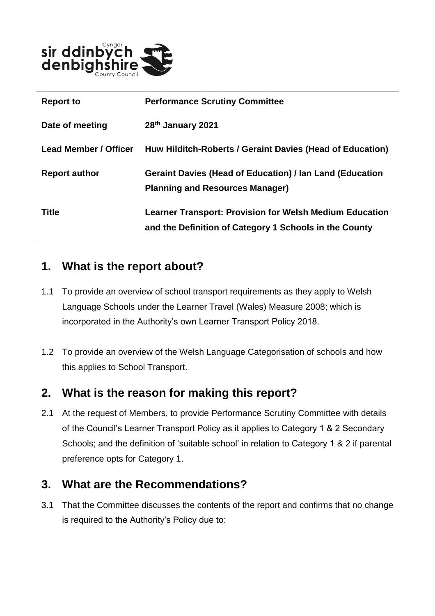

| <b>Report to</b>             | <b>Performance Scrutiny Committee</b>                                                                                    |
|------------------------------|--------------------------------------------------------------------------------------------------------------------------|
| Date of meeting              | 28th January 2021                                                                                                        |
| <b>Lead Member / Officer</b> | Huw Hilditch-Roberts / Geraint Davies (Head of Education)                                                                |
| <b>Report author</b>         | <b>Geraint Davies (Head of Education) / Ian Land (Education</b><br><b>Planning and Resources Manager)</b>                |
| Title                        | <b>Learner Transport: Provision for Welsh Medium Education</b><br>and the Definition of Category 1 Schools in the County |

### **1. What is the report about?**

- 1.1 To provide an overview of school transport requirements as they apply to Welsh Language Schools under the Learner Travel (Wales) Measure 2008; which is incorporated in the Authority's own Learner Transport Policy 2018.
- 1.2 To provide an overview of the Welsh Language Categorisation of schools and how this applies to School Transport.

### **2. What is the reason for making this report?**

2.1 At the request of Members, to provide Performance Scrutiny Committee with details of the Council's Learner Transport Policy as it applies to Category 1 & 2 Secondary Schools; and the definition of 'suitable school' in relation to Category 1 & 2 if parental preference opts for Category 1.

## **3. What are the Recommendations?**

3.1 That the Committee discusses the contents of the report and confirms that no change is required to the Authority's Policy due to: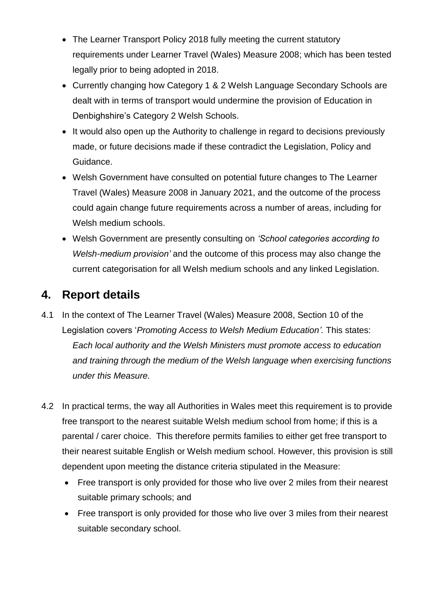- The Learner Transport Policy 2018 fully meeting the current statutory requirements under Learner Travel (Wales) Measure 2008; which has been tested legally prior to being adopted in 2018.
- Currently changing how Category 1 & 2 Welsh Language Secondary Schools are dealt with in terms of transport would undermine the provision of Education in Denbighshire's Category 2 Welsh Schools.
- It would also open up the Authority to challenge in regard to decisions previously made, or future decisions made if these contradict the Legislation, Policy and Guidance.
- Welsh Government have consulted on potential future changes to The Learner Travel (Wales) Measure 2008 in January 2021, and the outcome of the process could again change future requirements across a number of areas, including for Welsh medium schools.
- Welsh Government are presently consulting on *'School categories according to Welsh-medium provision'* and the outcome of this process may also change the current categorisation for all Welsh medium schools and any linked Legislation.

# **4. Report details**

- 4.1 In the context of The Learner Travel (Wales) Measure 2008, Section 10 of the Legislation covers '*Promoting Access to Welsh Medium Education'.* This states: *Each local authority and the Welsh Ministers must promote access to education and training through the medium of the Welsh language when exercising functions under this Measure.*
- 4.2 In practical terms, the way all Authorities in Wales meet this requirement is to provide free transport to the nearest suitable Welsh medium school from home; if this is a parental / carer choice. This therefore permits families to either get free transport to their nearest suitable English or Welsh medium school. However, this provision is still dependent upon meeting the distance criteria stipulated in the Measure:
	- Free transport is only provided for those who live over 2 miles from their nearest suitable primary schools; and
	- Free transport is only provided for those who live over 3 miles from their nearest suitable secondary school.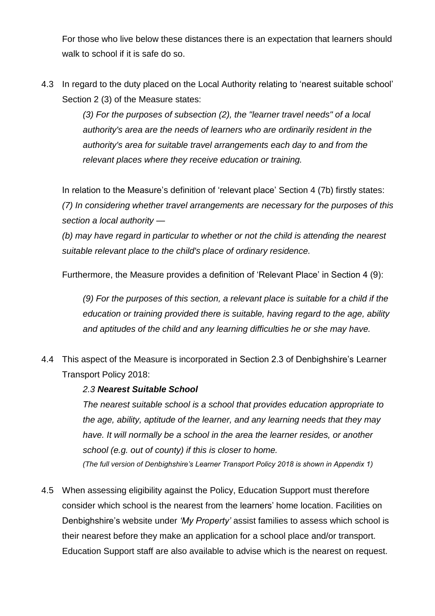For those who live below these distances there is an expectation that learners should walk to school if it is safe do so.

4.3 In regard to the duty placed on the Local Authority relating to 'nearest suitable school' Section 2 (3) of the Measure states:

> *(3) For the purposes of subsection (2), the "learner travel needs" of a local authority's area are the needs of learners who are ordinarily resident in the authority's area for suitable travel arrangements each day to and from the relevant places where they receive education or training.*

In relation to the Measure's definition of 'relevant place' Section 4 (7b) firstly states: *(7) In considering whether travel arrangements are necessary for the purposes of this section a local authority —*

*(b) may have regard in particular to whether or not the child is attending the nearest suitable relevant place to the child's place of ordinary residence.*

Furthermore, the Measure provides a definition of 'Relevant Place' in Section 4 (9):

*(9) For the purposes of this section, a relevant place is suitable for a child if the education or training provided there is suitable, having regard to the age, ability and aptitudes of the child and any learning difficulties he or she may have.*

4.4 This aspect of the Measure is incorporated in Section 2.3 of Denbighshire's Learner Transport Policy 2018:

#### *2.3 Nearest Suitable School*

*The nearest suitable school is a school that provides education appropriate to the age, ability, aptitude of the learner, and any learning needs that they may have. It will normally be a school in the area the learner resides, or another school (e.g. out of county) if this is closer to home. (The full version of Denbighshire's Learner Transport Policy 2018 is shown in Appendix 1)*

4.5 When assessing eligibility against the Policy, Education Support must therefore consider which school is the nearest from the learners' home location. Facilities on Denbighshire's website under *'My Property'* assist families to assess which school is their nearest before they make an application for a school place and/or transport. Education Support staff are also available to advise which is the nearest on request.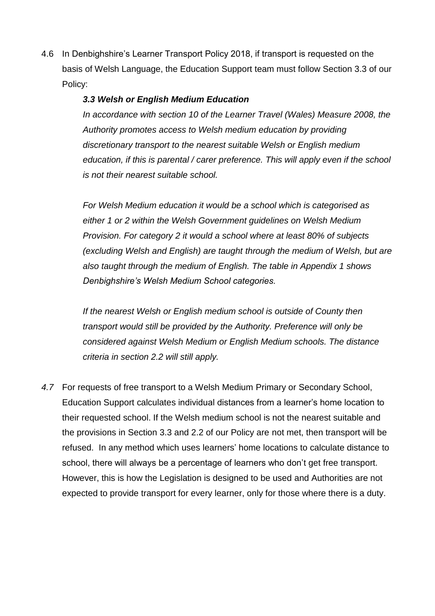4.6 In Denbighshire's Learner Transport Policy 2018, if transport is requested on the basis of Welsh Language, the Education Support team must follow Section 3.3 of our Policy:

#### *3.3 Welsh or English Medium Education*

*In accordance with section 10 of the Learner Travel (Wales) Measure 2008, the Authority promotes access to Welsh medium education by providing discretionary transport to the nearest suitable Welsh or English medium education, if this is parental / carer preference. This will apply even if the school is not their nearest suitable school.* 

*For Welsh Medium education it would be a school which is categorised as either 1 or 2 within the Welsh Government guidelines on Welsh Medium Provision. For category 2 it would a school where at least 80% of subjects (excluding Welsh and English) are taught through the medium of Welsh, but are also taught through the medium of English. The table in Appendix 1 shows Denbighshire's Welsh Medium School categories.* 

*If the nearest Welsh or English medium school is outside of County then transport would still be provided by the Authority. Preference will only be considered against Welsh Medium or English Medium schools. The distance criteria in section 2.2 will still apply.*

*4.7* For requests of free transport to a Welsh Medium Primary or Secondary School, Education Support calculates individual distances from a learner's home location to their requested school. If the Welsh medium school is not the nearest suitable and the provisions in Section 3.3 and 2.2 of our Policy are not met, then transport will be refused. In any method which uses learners' home locations to calculate distance to school, there will always be a percentage of learners who don't get free transport. However, this is how the Legislation is designed to be used and Authorities are not expected to provide transport for every learner, only for those where there is a duty.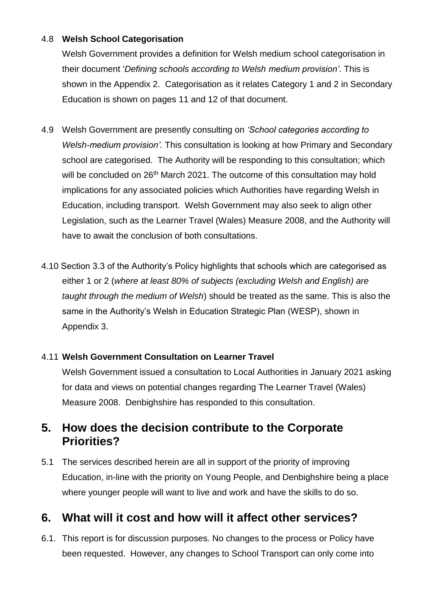#### 4.8 **Welsh School Categorisation**

Welsh Government provides a definition for Welsh medium school categorisation in their document '*Defining schools according to Welsh medium provision'*. This is shown in the Appendix 2. Categorisation as it relates Category 1 and 2 in Secondary Education is shown on pages 11 and 12 of that document.

- 4.9 Welsh Government are presently consulting on *'School categories according to Welsh-medium provision'.* This consultation is looking at how Primary and Secondary school are categorised. The Authority will be responding to this consultation; which will be concluded on 26<sup>th</sup> March 2021. The outcome of this consultation may hold implications for any associated policies which Authorities have regarding Welsh in Education, including transport. Welsh Government may also seek to align other Legislation, such as the Learner Travel (Wales) Measure 2008, and the Authority will have to await the conclusion of both consultations.
- 4.10 Section 3.3 of the Authority's Policy highlights that schools which are categorised as either 1 or 2 (*where at least 80% of subjects (excluding Welsh and English) are taught through the medium of Welsh*) should be treated as the same. This is also the same in the Authority's Welsh in Education Strategic Plan (WESP), shown in Appendix 3.

#### 4.11 **Welsh Government Consultation on Learner Travel**

Welsh Government issued a consultation to Local Authorities in January 2021 asking for data and views on potential changes regarding The Learner Travel (Wales) Measure 2008. Denbighshire has responded to this consultation.

### **5. How does the decision contribute to the Corporate Priorities?**

5.1 The services described herein are all in support of the priority of improving Education, in-line with the priority on Young People, and Denbighshire being a place where younger people will want to live and work and have the skills to do so.

## **6. What will it cost and how will it affect other services?**

6.1. This report is for discussion purposes. No changes to the process or Policy have been requested. However, any changes to School Transport can only come into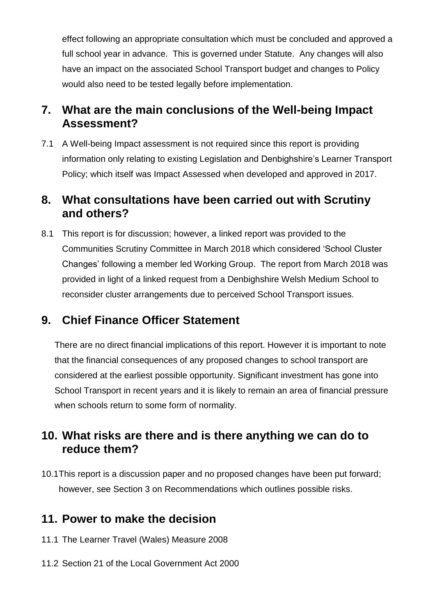effect following an appropriate consultation which must be concluded and approved a full school year in advance. This is governed under Statute. Any changes will also have an impact on the associated School Transport budget and changes to Policy would also need to be tested legally before implementation.

## **7. What are the main conclusions of the Well-being Impact Assessment?**

7.1 A Well-being Impact assessment is not required since this report is providing information only relating to existing Legislation and Denbighshire's Learner Transport Policy; which itself was Impact Assessed when developed and approved in 2017.

### **8. What consultations have been carried out with Scrutiny and others?**

8.1 This report is for discussion; however, a linked report was provided to the Communities Scrutiny Committee in March 2018 which considered 'School Cluster Changes' following a member led Working Group. The report from March 2018 was provided in light of a linked request from a Denbighshire Welsh Medium School to reconsider cluster arrangements due to perceived School Transport issues.

## **9. Chief Finance Officer Statement**

There are no direct financial implications of this report. However it is important to note that the financial consequences of any proposed changes to school transport are considered at the earliest possible opportunity. Significant investment has gone into School Transport in recent years and it is likely to remain an area of financial pressure when schools return to some form of normality.

## **10. What risks are there and is there anything we can do to reduce them?**

10.1This report is a discussion paper and no proposed changes have been put forward; however, see Section 3 on Recommendations which outlines possible risks.

### **11. Power to make the decision**

- 11.1 The Learner Travel (Wales) Measure 2008
- 11.2 Section 21 of the Local Government Act 2000